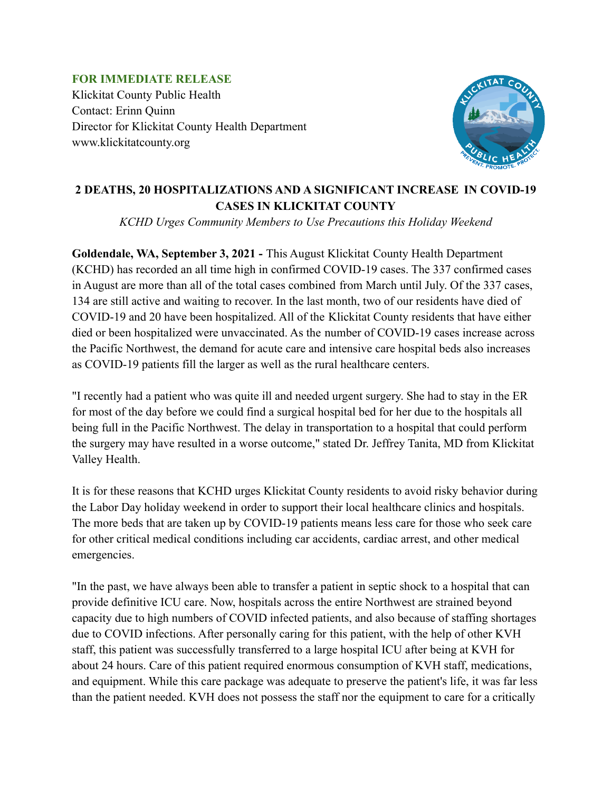## **FOR IMMEDIATE RELEASE** Klickitat County Public Health Contact: Erinn Quinn Director for Klickitat County Health Department www.klickitatcounty.org



## **2 DEATHS, 20 HOSPITALIZATIONS AND A SIGNIFICANT INCREASE IN COVID-19 CASES IN KLICKITAT COUNTY**

*KCHD Urges Community Members to Use Precautions this Holiday Weekend*

**Goldendale, WA, September 3, 2021 -** This August Klickitat County Health Department (KCHD) has recorded an all time high in confirmed COVID-19 cases. The 337 confirmed cases in August are more than all of the total cases combined from March until July. Of the 337 cases, 134 are still active and waiting to recover. In the last month, two of our residents have died of COVID-19 and 20 have been hospitalized. All of the Klickitat County residents that have either died or been hospitalized were unvaccinated. As the number of COVID-19 cases increase across the Pacific Northwest, the demand for acute care and intensive care hospital beds also increases as COVID-19 patients fill the larger as well as the rural healthcare centers.

"I recently had a patient who was quite ill and needed urgent surgery. She had to stay in the ER for most of the day before we could find a surgical hospital bed for her due to the hospitals all being full in the Pacific Northwest. The delay in transportation to a hospital that could perform the surgery may have resulted in a worse outcome," stated Dr. Jeffrey Tanita, MD from Klickitat Valley Health.

It is for these reasons that KCHD urges Klickitat County residents to avoid risky behavior during the Labor Day holiday weekend in order to support their local healthcare clinics and hospitals. The more beds that are taken up by COVID-19 patients means less care for those who seek care for other critical medical conditions including car accidents, cardiac arrest, and other medical emergencies.

"In the past, we have always been able to transfer a patient in septic shock to a hospital that can provide definitive ICU care. Now, hospitals across the entire Northwest are strained beyond capacity due to high numbers of COVID infected patients, and also because of staffing shortages due to COVID infections. After personally caring for this patient, with the help of other KVH staff, this patient was successfully transferred to a large hospital ICU after being at KVH for about 24 hours. Care of this patient required enormous consumption of KVH staff, medications, and equipment. While this care package was adequate to preserve the patient's life, it was far less than the patient needed. KVH does not possess the staff nor the equipment to care for a critically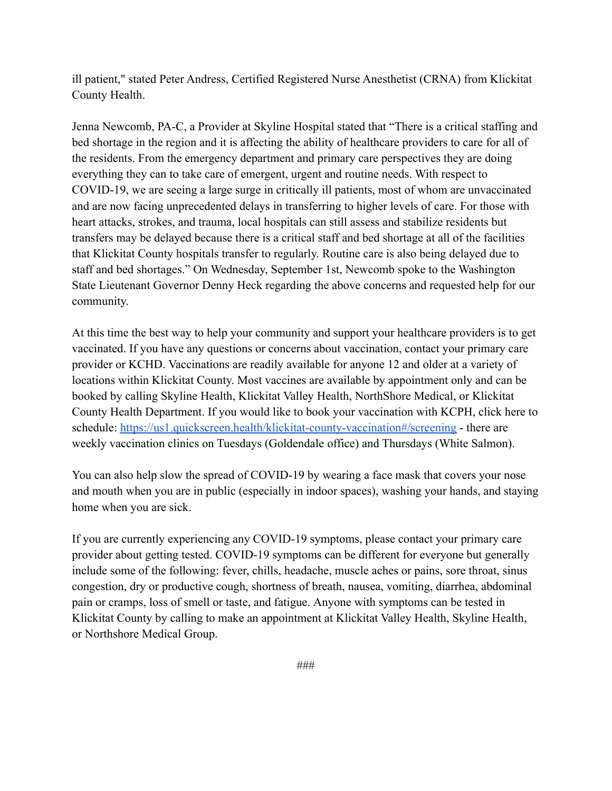ill patient," stated Peter Andress, Certified Registered Nurse Anesthetist (CRNA) from Klickitat County Health.

Jenna Newcomb, PA-C, a Provider at Skyline Hospital stated that "There is a critical staffing and bed shortage in the region and it is affecting the ability of healthcare providers to care for all of the residents. From the emergency department and primary care perspectives they are doing everything they can to take care of emergent, urgent and routine needs. With respect to COVID-19, we are seeing a large surge in critically ill patients, most of whom are unvaccinated and are now facing unprecedented delays in transferring to higher levels of care. For those with heart attacks, strokes, and trauma, local hospitals can still assess and stabilize residents but transfers may be delayed because there is a critical staff and bed shortage at all of the facilities that Klickitat County hospitals transfer to regularly. Routine care is also being delayed due to staff and bed shortages." On Wednesday, September 1st, Newcomb spoke to the Washington State Lieutenant Governor Denny Heck regarding the above concerns and requested help for our community.

At this time the best way to help your community and support your healthcare providers is to get vaccinated. If you have any questions or concerns about vaccination, contact your primary care provider or KCHD. Vaccinations are readily available for anyone 12 and older at a variety of locations within Klickitat County. Most vaccines are available by appointment only and can be booked by calling Skyline Health, Klickitat Valley Health, NorthShore Medical, or Klickitat County Health Department. If you would like to book your vaccination with KCPH, click here to schedule: <https://us1.quickscreen.health/klickitat-county-vaccination#/screening> - there are weekly vaccination clinics on Tuesdays (Goldendale office) and Thursdays (White Salmon).

You can also help slow the spread of COVID-19 by wearing a face mask that covers your nose and mouth when you are in public (especially in indoor spaces), washing your hands, and staying home when you are sick.

If you are currently experiencing any COVID-19 symptoms, please contact your primary care provider about getting tested. COVID-19 symptoms can be different for everyone but generally include some of the following: fever, chills, headache, muscle aches or pains, sore throat, sinus congestion, dry or productive cough, shortness of breath, nausea, vomiting, diarrhea, abdominal pain or cramps, loss of smell or taste, and fatigue. Anyone with symptoms can be tested in Klickitat County by calling to make an appointment at Klickitat Valley Health, Skyline Health, or Northshore Medical Group.